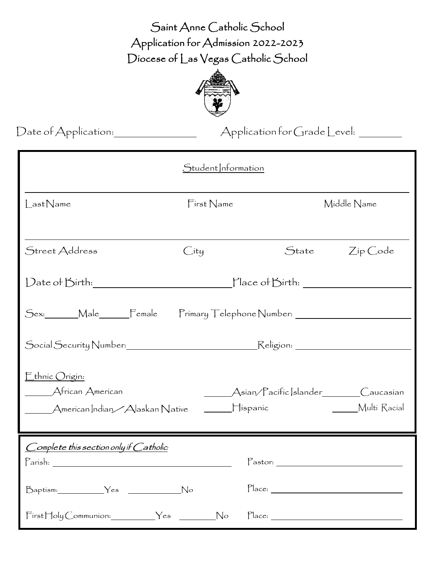Saint Anne Catholic School Application for Admission 2022-2023 Diocese of Las Vegas Catholic School



Date of Application: Application for Grade Level:

| Student nformation                                                    |            |                                                      |                |
|-----------------------------------------------------------------------|------------|------------------------------------------------------|----------------|
| LastName                                                              | First Name |                                                      | Middle Name    |
| Street Address                                                        | City       |                                                      | State Zip Code |
|                                                                       |            |                                                      |                |
| Sex:______Male______Female  Primary Telephone Number: _______________ |            |                                                      |                |
|                                                                       |            |                                                      |                |
| Ethnic Origin:<br>Afrícan Amerícan<br>Multi Racial                    |            |                                                      |                |
| Complete this section only if Catholic:<br>Parish:                    |            | $\sqrt{\frac{P_{\text{astor:}}}{P_{\text{astor:}}}}$ |                |
| Baptism: Yes No                                                       |            |                                                      |                |
| FirstHolyCommunion: Yes No Place: 1998                                |            |                                                      |                |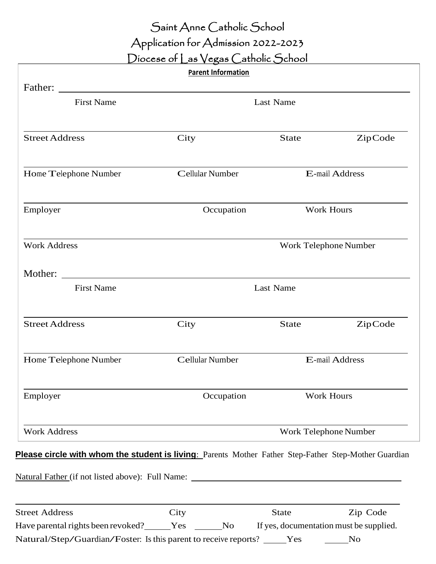# Saint Anne Catholic School

# Application for Admission 2022-2023

Diocese of Las Vegas Catholic School

|                                                                                                          | <b>Parent Information</b> |                                                                                   |            |  |
|----------------------------------------------------------------------------------------------------------|---------------------------|-----------------------------------------------------------------------------------|------------|--|
|                                                                                                          |                           |                                                                                   |            |  |
| <b>First Name</b>                                                                                        | <b>Last Name</b>          |                                                                                   |            |  |
| <b>Street Address</b>                                                                                    | City                      | <b>State</b>                                                                      | ZipCode    |  |
| Home Telephone Number                                                                                    | Cellular Number           | E-mail Address                                                                    |            |  |
| Employer                                                                                                 | Occupation                | <b>Work Hours</b>                                                                 |            |  |
| <b>Work Address</b>                                                                                      |                           | Work Telephone Number                                                             |            |  |
| Mother:                                                                                                  |                           |                                                                                   |            |  |
| <b>First Name</b>                                                                                        | <b>Last Name</b>          |                                                                                   |            |  |
| <b>Street Address</b>                                                                                    | City                      | <b>State</b>                                                                      | ZipCode    |  |
| Home Telephone Number                                                                                    | Cellular Number           | E-mail Address                                                                    |            |  |
| Employer                                                                                                 | Occupation                |                                                                                   | Work Hours |  |
| <b>Work Address</b>                                                                                      |                           | Work Telephone Number                                                             |            |  |
| Please circle with whom the student is living: Parents Mother Father Step-Father Step-Mother Guardian    |                           |                                                                                   |            |  |
| Natural Father (if not listed above): Full Name: <u>Natural Father (if not listed</u> above): Full Name: |                           |                                                                                   |            |  |
| <b>Street Address</b>                                                                                    | City                      | <b>State</b>                                                                      | Zip Code   |  |
|                                                                                                          |                           | Have parental rights been revoked? Yes No If yes, documentation must be supplied. |            |  |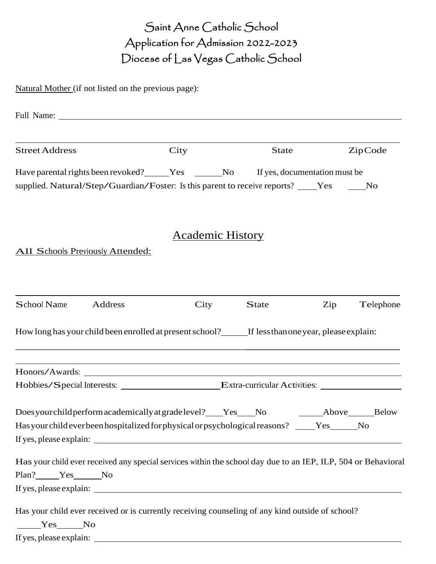### Saint Anne Catholic School Application for Admission 2022-2023 Diocese of Las Vegas Catholic School

Natural Mother (if not listed on the previous page):

| <b>Street Address</b>                                                                                                                                                            | City                                                                                                                  | State        |     | ZipCode   |
|----------------------------------------------------------------------------------------------------------------------------------------------------------------------------------|-----------------------------------------------------------------------------------------------------------------------|--------------|-----|-----------|
| Have parental rights been revoked? _____Yes ______No If yes, documentation must be<br>supplied. Natural/Step/Guardian/Foster: Is this parent to receive reports? ____Yes _____No |                                                                                                                       |              |     |           |
|                                                                                                                                                                                  | <b>Academic History</b>                                                                                               |              |     |           |
| <b>All Schools Previously Attended:</b>                                                                                                                                          |                                                                                                                       |              |     |           |
| School Name<br>Address                                                                                                                                                           | City                                                                                                                  | <b>State</b> | Zip | Telephone |
| How long has your child been enrolled at present school? If less than one year, please explain:                                                                                  |                                                                                                                       |              |     |           |
|                                                                                                                                                                                  | <u> 1989 - Johann Stoff, deutscher Stoff, der Stoff, der Stoff, der Stoff, der Stoff, der Stoff, der Stoff, der S</u> |              |     |           |
| Hobbies/Special Interests: Extra-curricular Activities: ________________________                                                                                                 |                                                                                                                       |              |     |           |
| Does your child perform academically at grade level? Yes No Above Below<br>Has your child ever been hospitalized for physical or psychological reasons?                          |                                                                                                                       |              | Yes | No        |
| Has your child ever received any special services within the school day due to an IEP, ILP, 504 or Behavioral<br>Plan? Yes No                                                    |                                                                                                                       |              |     |           |
| Has your child ever received or is currently receiving counseling of any kind outside of school?<br>Yes No<br>If yes, please explain:                                            | <u> 2002 - Johann Stein, mars an deutscher Stein († 2003)</u>                                                         |              |     |           |